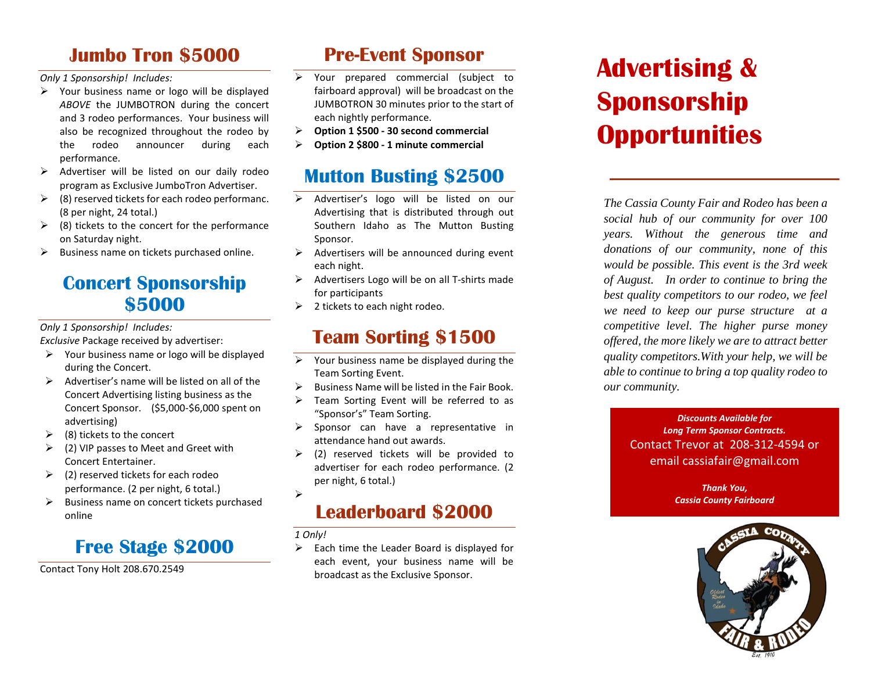### **Jumbo Tron \$5000**

*Only 1 Sponsorship! Includes:*

- $\triangleright$  Your business name or logo will be displayed *ABOVE* the JUMBOTRON during the concert and 3 rodeo performances. Your business will also be recognized throughout the rodeo by the rodeo announcer during each performance.
- $\triangleright$  Advertiser will be listed on our daily rodeo program as Exclusive JumboTron Advertiser.
- $\triangleright$  (8) reserved tickets for each rodeo performanc. (8 per night, 24 total.)
- $\triangleright$  (8) tickets to the concert for the performance on Saturday night.
- $\triangleright$  Business name on tickets purchased online.

### **Concert Sponsorship \$5000**

*Only 1 Sponsorship! Includes:*

*Exclusive* Package received by advertiser:

- $\triangleright$  Your business name or logo will be displayed during the Concert.
- $\triangleright$  Advertiser's name will be listed on all of the Concert Advertising listing business as the Concert Sponsor. (\$5,000-\$6,000 spent on advertising)
- $\geq$  (8) tickets to the concert
- $\geq$  (2) VIP passes to Meet and Greet with Concert Entertainer.
- $\geq$  (2) reserved tickets for each rodeo performance. (2 per night, 6 total.)
- ➢ Business name on concert tickets purchased online

## **Free Stage \$2000**

Contact Tony Holt 208.670.2549

### **Pre-Event Sponsor**

- ➢ Your prepared commercial (subject to fairboard approval) will be broadcast on the JUMBOTRON 30 minutes prior to the start of each nightly performance.
- ➢ **Option 1 \$500 - 30 second commercial**
- ➢ **Option 2 \$800 - 1 minute commercial**

### **Mutton Busting \$2500**

- ➢ Advertiser's logo will be listed on our Advertising that is distributed through out Southern Idaho as The Mutton Busting Sponsor.
- $\triangleright$  Advertisers will be announced during event each night.
- $\triangleright$  Advertisers Logo will be on all T-shirts made for participants
- $\geq$  2 tickets to each night rodeo.

## **Team Sorting \$1500**

- $\triangleright$  Your business name be displayed during the Team Sorting Event.
- $\triangleright$  Business Name will be listed in the Fair Book.
- $\triangleright$  Team Sorting Event will be referred to as "Sponsor's" Team Sorting.
- $\triangleright$  Sponsor can have a representative in attendance hand out awards.
- $\geq$  (2) reserved tickets will be provided to advertiser for each rodeo performance. (2 per night, 6 total.) ➢

## **Leaderboard \$2000**

*1 Only!*

 $\triangleright$  Each time the Leader Board is displayed for each event, your business name will be broadcast as the Exclusive Sponsor.

# **Advertising & Sponsorship Opportunities**

*The Cassia County Fair and Rodeo has been a social hub of our community for over 100 years. Without the generous time and donations of our community, none of this would be possible. This event is the 3rd week of August. In order to continue to bring the best quality competitors to our rodeo, we feel we need to keep our purse structure at a competitive level. The higher purse money offered, the more likely we are to attract better quality competitors.With your help, we will be able to continue to bring a top quality rodeo to our community.*

> *Discounts Available for Long Term Sponsor Contracts.*  Contact Trevor at 208-312-4594 or email cassiafair@gmail.com

> > *Thank You, Cassia County Fairboard*